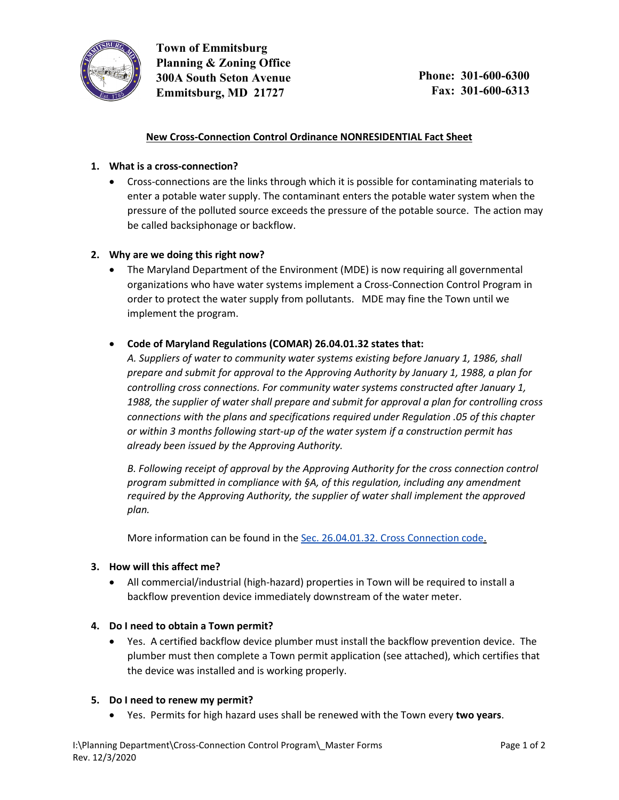

**Town of Emmitsburg Planning & Zoning Office 300A South Seton Avenue Emmitsburg, MD 21727**

## **New Cross-Connection Control Ordinance NONRESIDENTIAL Fact Sheet**

# **1. What is a cross-connection?**

• Cross-connections are the links through which it is possible for contaminating materials to enter a potable water supply. The contaminant enters the potable water system when the pressure of the polluted source exceeds the pressure of the potable source. The action may be called backsiphonage or backflow.

#### **2. Why are we doing this right now?**

• The Maryland Department of the Environment (MDE) is now requiring all governmental organizations who have water systems implement a Cross-Connection Control Program in order to protect the water supply from pollutants. MDE may fine the Town until we implement the program.

## • **Code of Maryland Regulations (COMAR) 26.04.01.32 states that:**

*A. Suppliers of water to community water systems existing before January 1, 1986, shall prepare and submit for approval to the Approving Authority by January 1, 1988, a plan for controlling cross connections. For community water systems constructed after January 1, 1988, the supplier of water shall prepare and submit for approval a plan for controlling cross connections with the plans and specifications required under Regulation .05 of this chapter or within 3 months following start-up of the water system if a construction permit has already been issued by the Approving Authority.*

*B. Following receipt of approval by the Approving Authority for the cross connection control program submitted in compliance with §A, of this regulation, including any amendment required by the Approving Authority, the supplier of water shall implement the approved plan.*

More information can be found in the Sec. [26.04.01.32.](http://mdrules.elaws.us/comar/26.04.01.32) Cross Connection code.

#### **3. How will this affect me?**

• All commercial/industrial (high-hazard) properties in Town will be required to install a backflow prevention device immediately downstream of the water meter.

#### **4. Do I need to obtain a Town permit?**

• Yes. A certified backflow device plumber must install the backflow prevention device. The plumber must then complete a Town permit application (see attached), which certifies that the device was installed and is working properly.

#### **5. Do I need to renew my permit?**

• Yes. Permits for high hazard uses shall be renewed with the Town every **two years**.